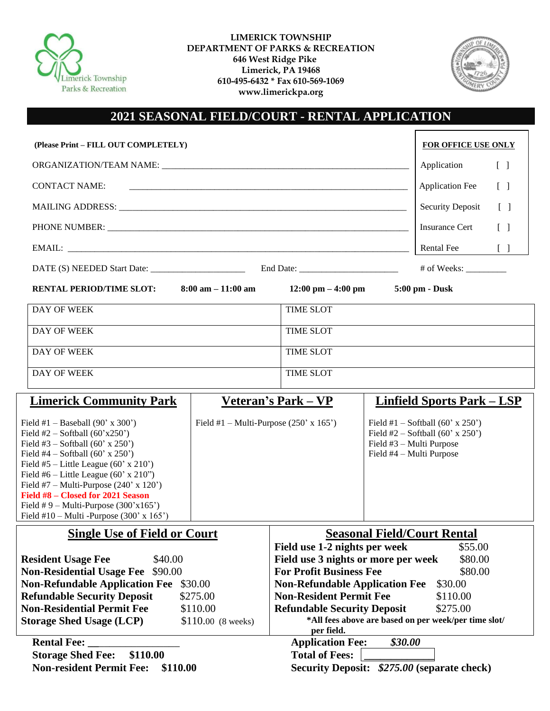

**LIMERICK TOWNSHIP DEPARTMENT OF PARKS & RECREATION 646 West Ridge Pike Limerick, PA 19468 610-495-6432 \* Fax 610-569-1069 www.limerickpa.org**



## **2021 SEASONAL FIELD/COURT - RENTAL APPLICATION**

| (Please Print - FILL OUT COMPLETELY)                                                                                                                                                                                                                                                                                                                                                                              | <b>FOR OFFICE USE ONLY</b>                                                                                                                                                                                                                                                                                                                                        |  |  |  |
|-------------------------------------------------------------------------------------------------------------------------------------------------------------------------------------------------------------------------------------------------------------------------------------------------------------------------------------------------------------------------------------------------------------------|-------------------------------------------------------------------------------------------------------------------------------------------------------------------------------------------------------------------------------------------------------------------------------------------------------------------------------------------------------------------|--|--|--|
|                                                                                                                                                                                                                                                                                                                                                                                                                   | Application<br>$\begin{bmatrix} \end{bmatrix}$                                                                                                                                                                                                                                                                                                                    |  |  |  |
| <b>CONTACT NAME:</b>                                                                                                                                                                                                                                                                                                                                                                                              | <b>Application Fee</b><br>$\begin{bmatrix} \end{bmatrix}$                                                                                                                                                                                                                                                                                                         |  |  |  |
|                                                                                                                                                                                                                                                                                                                                                                                                                   | <b>Security Deposit</b><br>$\begin{bmatrix} \end{bmatrix}$                                                                                                                                                                                                                                                                                                        |  |  |  |
|                                                                                                                                                                                                                                                                                                                                                                                                                   | <b>Insurance Cert</b><br>$\lceil \rceil$                                                                                                                                                                                                                                                                                                                          |  |  |  |
|                                                                                                                                                                                                                                                                                                                                                                                                                   | <b>Rental Fee</b><br>$[\ ]$                                                                                                                                                                                                                                                                                                                                       |  |  |  |
|                                                                                                                                                                                                                                                                                                                                                                                                                   |                                                                                                                                                                                                                                                                                                                                                                   |  |  |  |
| <b>RENTAL PERIOD/TIME SLOT:</b><br>$8:00 \text{ am} - 11:00 \text{ am}$                                                                                                                                                                                                                                                                                                                                           | 12:00 pm $-$ 4:00 pm<br>5:00 pm - Dusk                                                                                                                                                                                                                                                                                                                            |  |  |  |
| DAY OF WEEK                                                                                                                                                                                                                                                                                                                                                                                                       | <b>TIME SLOT</b>                                                                                                                                                                                                                                                                                                                                                  |  |  |  |
| DAY OF WEEK                                                                                                                                                                                                                                                                                                                                                                                                       | <b>TIME SLOT</b>                                                                                                                                                                                                                                                                                                                                                  |  |  |  |
| DAY OF WEEK                                                                                                                                                                                                                                                                                                                                                                                                       | <b>TIME SLOT</b>                                                                                                                                                                                                                                                                                                                                                  |  |  |  |
| DAY OF WEEK                                                                                                                                                                                                                                                                                                                                                                                                       | <b>TIME SLOT</b>                                                                                                                                                                                                                                                                                                                                                  |  |  |  |
| <b>Limerick Community Park</b>                                                                                                                                                                                                                                                                                                                                                                                    | <b>Linfield Sports Park - LSP</b><br><u>Veteran's Park – VP</u>                                                                                                                                                                                                                                                                                                   |  |  |  |
| Field #1 - Baseball (90' x 300')<br>Field #2 – Softball $(60'x250')$<br>Field #3 – Softball (60' x 250')<br>Field #4 – Softball (60' x 250')<br>Field #5 – Little League (60' x 210')<br>Field #6 – Little League (60' x 210")<br>Field #7 – Multi-Purpose $(240' \times 120')$<br>Field #8 - Closed for 2021 Season<br>Field #9 - Multi-Purpose $(300'x165')$<br>Field #10 – Multi -Purpose $(300' \times 165')$ | Field #1 – Multi-Purpose $(250' \times 165')$<br>Field #1 – Softball (60' x 250')<br>Field #2 – Softball (60' x 250')<br>Field #3 - Multi Purpose<br>Field #4 – Multi Purpose                                                                                                                                                                                     |  |  |  |
| <b>Single Use of Field or Court</b>                                                                                                                                                                                                                                                                                                                                                                               | <b>Seasonal Field/Court Rental</b>                                                                                                                                                                                                                                                                                                                                |  |  |  |
| <b>Resident Usage Fee</b><br>\$40.00<br><b>Non-Residential Usage Fee</b> \$90.00<br><b>Non-Refundable Application Fee</b> \$30.00<br><b>Refundable Security Deposit</b><br>\$275.00<br><b>Non-Residential Permit Fee</b><br>\$110.00<br><b>Storage Shed Usage (LCP)</b><br>$$110.00$ (8 weeks)                                                                                                                    | Field use 1-2 nights per week<br>\$55.00<br>Field use 3 nights or more per week<br>\$80.00<br><b>For Profit Business Fee</b><br>\$80.00<br><b>Non-Refundable Application Fee</b><br>\$30.00<br><b>Non-Resident Permit Fee</b><br>\$110.00<br><b>Refundable Security Deposit</b><br>\$275.00<br>*All fees above are based on per week/per time slot/<br>per field. |  |  |  |
| <b>Rental Fee:</b><br><b>Storage Shed Fee:</b><br>\$110.00<br><b>Non-resident Permit Fee:</b><br>\$110.00                                                                                                                                                                                                                                                                                                         | <b>Application Fee:</b><br>\$30.00<br><b>Total of Fees:</b><br>Security Deposit: \$275.00 (separate check)                                                                                                                                                                                                                                                        |  |  |  |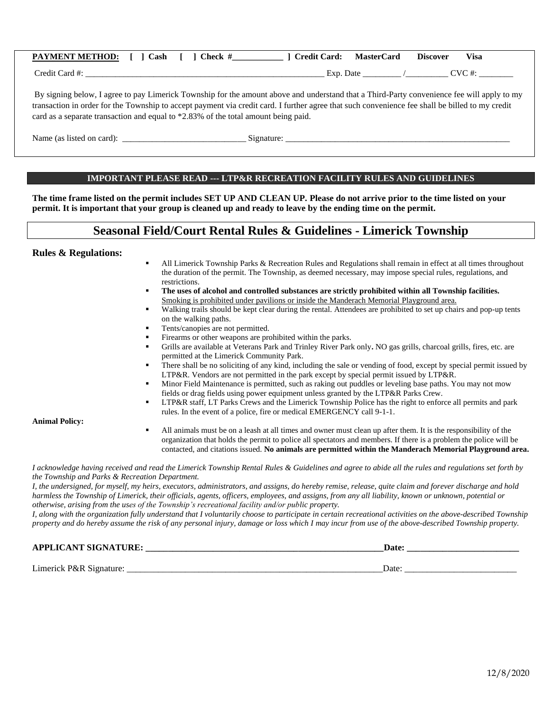| <b>PAYMENT METHOD:</b> [ ] Cash [ | $\Box$ Check # | l  Credit Card: | MasterCard | <b>Discover</b> | Visa |
|-----------------------------------|----------------|-----------------|------------|-----------------|------|
| Credit Card #:                    |                | Exp. Date       |            | CVC #:          |      |
|                                   |                |                 |            |                 |      |

By signing below, I agree to pay Limerick Township for the amount above and understand that a Third-Party convenience fee will apply to my transaction in order for the Township to accept payment via credit card. I further agree that such convenience fee shall be billed to my credit card as a separate transaction and equal to \*2.83% of the total amount being paid.

| Name (as listed on card): | Signature |
|---------------------------|-----------|
|                           |           |

#### **IMPORTANT PLEASE READ --- LTP&R RECREATION FACILITY RULES AND GUIDELINES**

**The time frame listed on the permit includes SET UP AND CLEAN UP. Please do not arrive prior to the time listed on your permit. It is important that your group is cleaned up and ready to leave by the ending time on the permit.**

## **Seasonal Field/Court Rental Rules & Guidelines - Limerick Township**

#### **Rules & Regulations:**

- All Limerick Township Parks & Recreation Rules and Regulations shall remain in effect at all times throughout the duration of the permit. The Township, as deemed necessary, may impose special rules, regulations, and restrictions.
- **The uses of alcohol and controlled substances are strictly prohibited within all Township facilities.** Smoking is prohibited under pavilions or inside the Manderach Memorial Playground area.
- Walking trails should be kept clear during the rental. Attendees are prohibited to set up chairs and pop-up tents on the walking paths.
- Tents/canopies are not permitted.
- Firearms or other weapons are prohibited within the parks.
- Grills are available at Veterans Park and Trinley River Park only**.** NO gas grills, charcoal grills, fires, etc. are permitted at the Limerick Community Park.
- There shall be no soliciting of any kind, including the sale or vending of food, except by special permit issued by LTP&R. Vendors are not permitted in the park except by special permit issued by LTP&R.
- Minor Field Maintenance is permitted, such as raking out puddles or leveling base paths. You may not mow fields or drag fields using power equipment unless granted by the LTP&R Parks Crew.
- LTP&R staff, LT Parks Crews and the Limerick Township Police has the right to enforce all permits and park rules. In the event of a police, fire or medical EMERGENCY call 9-1-1.

#### **Animal Policy:**

All animals must be on a leash at all times and owner must clean up after them. It is the responsibility of the organization that holds the permit to police all spectators and members. If there is a problem the police will be contacted, and citations issued. **No animals are permitted within the Manderach Memorial Playground area.**

*I acknowledge having received and read the Limerick Township Rental Rules & Guidelines and agree to abide all the rules and regulations set forth by the Township and Parks & Recreation Department.*

*I, the undersigned, for myself, my heirs, executors, administrators, and assigns, do hereby remise, release, quite claim and forever discharge and hold harmless the Township of Limerick, their officials, agents, officers, employees, and assigns, from any all liability, known or unknown, potential or otherwise, arising from the uses of the Township's recreational facility and/or public property.*

*I, along with the organization fully understand that I voluntarily choose to participate in certain recreational activities on the above-described Township property and do hereby assume the risk of any personal injury, damage or loss which I may incur from use of the above-described Township property.*

| <b>APPLICANT SIGNATURE:</b> | Date <sup>.</sup> |  |  |
|-----------------------------|-------------------|--|--|
|                             |                   |  |  |
| Limerick P&R Signature:     | Date              |  |  |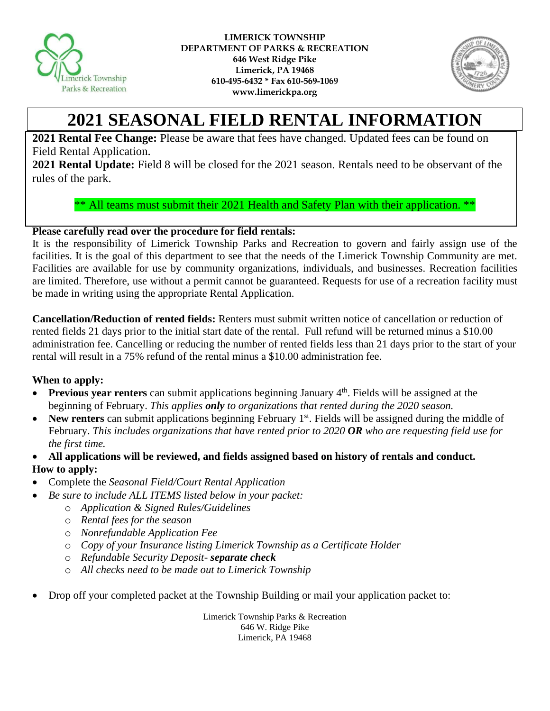



# **2021 SEASONAL FIELD RENTAL INFORMATION**

**2021 Rental Fee Change:** Please be aware that fees have changed. Updated fees can be found on Field Rental Application.

**2021 Rental Update:** Field 8 will be closed for the 2021 season. Rentals need to be observant of the rules of the park.

\*\* All teams must submit their 2021 Health and Safety Plan with their application. \*\*

## **Please carefully read over the procedure for field rentals:**

It is the responsibility of Limerick Township Parks and Recreation to govern and fairly assign use of the facilities. It is the goal of this department to see that the needs of the Limerick Township Community are met. Facilities are available for use by community organizations, individuals, and businesses. Recreation facilities are limited. Therefore, use without a permit cannot be guaranteed. Requests for use of a recreation facility must be made in writing using the appropriate Rental Application.

**Cancellation/Reduction of rented fields:** Renters must submit written notice of cancellation or reduction of rented fields 21 days prior to the initial start date of the rental. Full refund will be returned minus a \$10.00 administration fee. Cancelling or reducing the number of rented fields less than 21 days prior to the start of your rental will result in a 75% refund of the rental minus a \$10.00 administration fee.

### **When to apply:**

- Previous year renters can submit applications beginning January 4<sup>th</sup>. Fields will be assigned at the beginning of February. *This applies only to organizations that rented during the 2020 season.*
- New renters can submit applications beginning February 1<sup>st</sup>. Fields will be assigned during the middle of February. *This includes organizations that have rented prior to 2020 OR who are requesting field use for the first time.*
- **All applications will be reviewed, and fields assigned based on history of rentals and conduct. How to apply:**
- Complete the *Seasonal Field/Court Rental Application*
- *Be sure to include ALL ITEMS listed below in your packet:*
	- o *Application & Signed Rules/Guidelines*
	- o *Rental fees for the season*
	- o *Nonrefundable Application Fee*
	- o *Copy of your Insurance listing Limerick Township as a Certificate Holder*
	- o *Refundable Security Deposit- separate check*
	- o *All checks need to be made out to Limerick Township*
- Drop off your completed packet at the Township Building or mail your application packet to:

Limerick Township Parks & Recreation 646 W. Ridge Pike Limerick, PA 19468